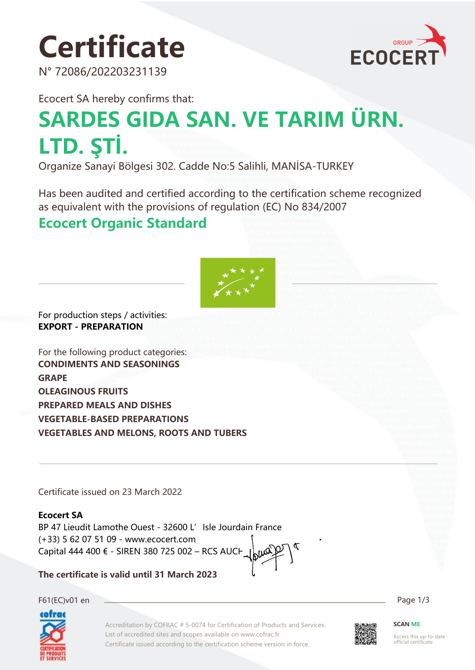# **Certificate**

N° 72086/202203231139



Ecocert SA hereby confirms that:

# **SARDES GIDA SAN. VE TARIM ÜRN. LTD. ŞTİ.**

Organize Sanayi Bölgesi 302. Cadde No:5 Salihli, MANİSA-TURKEY

Has been audited and certified according to the certification scheme recognized as equivalent with the provisions of regulation (EC) No 834/2007

### **Ecocert Organic Standard**



For production steps / activities: **EXPORT - PREPARATION**

For the following product categories: **CONDIMENTS AND SEASONINGS GRAPE OLEAGINOUS FRUITS PREPARED MEALS AND DISHES VEGETABLE-BASED PREPARATIONS VEGETABLES AND MELONS, ROOTS AND TUBERS**

Certificate issued on 23 March 2022

#### **Ecocert SA**

BP 47 Lieudit Lamothe Ouest - 32600 L'Isle Jourdain France (+33) 5 62 07 51 09 - www.ecocert.com Capital 444 400 € - SIREN 380 725 002 – RCS AUCH

**The certificate is valid until 31 March 2023**

F61(EC)v01 en Page 1/3



Accreditation by COFRAC # 5-0074 for Certification of Products and Services. List of accredited sites and scopes available on www.cofrac.fr Certificate issued according to the certification scheme version in force.



**SCAN ME**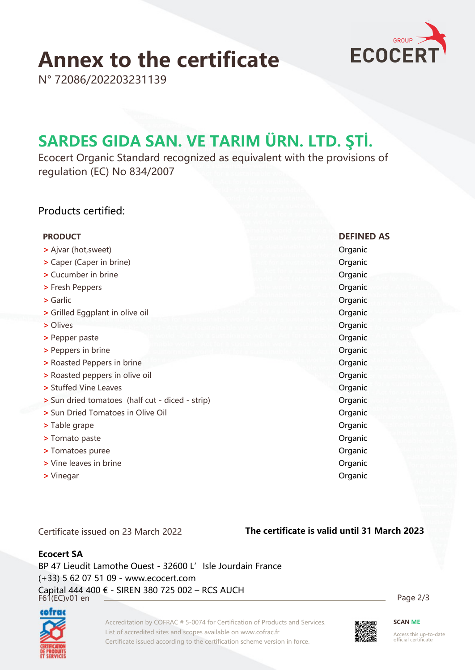# **Annex to the certificate**



N° 72086/202203231139

### **SARDES GIDA SAN. VE TARIM ÜRN. LTD. ŞTİ.**

Ecocert Organic Standard recognized as equivalent with the provisions of regulation (EC) No 834/2007

#### Products certified:

| <b>PRODUCT</b>                                  | <b>DEFINED AS</b> |
|-------------------------------------------------|-------------------|
| > Ajvar (hot, sweet)                            | Organic           |
| > Caper (Caper in brine)                        | Organic           |
| > Cucumber in brine                             | Organic           |
| > Fresh Peppers                                 | Organic           |
| $\triangleright$ Garlic                         | Organic           |
| > Grilled Eggplant in olive oil                 | Organic           |
| > Olives                                        | Organic           |
| > Pepper paste                                  | Organic           |
| > Peppers in brine                              | Organic           |
| > Roasted Peppers in brine                      | Organic           |
| > Roasted peppers in olive oil                  | Organic           |
| > Stuffed Vine Leaves                           | Organic           |
| > Sun dried tomatoes (half cut - diced - strip) | Organic           |
| > Sun Dried Tomatoes in Olive Oil               | Organic           |
| > Table grape                                   | Organic           |
| > Tomato paste                                  | Organic           |
| > Tomatoes puree                                | Organic           |
| > Vine leaves in brine                          | Organic           |
| > Vinegar                                       | Organic           |

Certificate issued on 23 March 2022

#### **The certificate is valid until 31 March 2023**

#### **Ecocert SA**

F61(EC)v01 en Page 2/3 BP 47 Lieudit Lamothe Ouest - 32600 L' Isle Jourdain France (+33) 5 62 07 51 09 - www.ecocert.com Capital 444 400 € - SIREN 380 725 002 – RCS AUCH



Accreditation by COFRAC # 5-0074 for Certification of Products and Services. List of accredited sites and scopes available on www.cofrac.fr Certificate issued according to the certification scheme version in force.



**SCAN ME**

Access this up-to-date official certificate